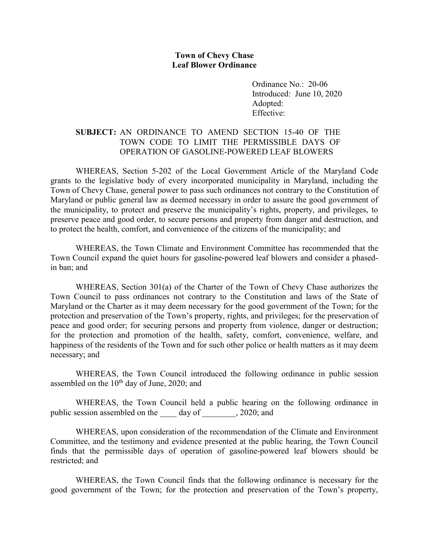## **Town of Chevy Chase Leaf Blower Ordinance**

Ordinance No.: 20-06 Introduced: June 10, 2020 Adopted: Effective:

## **SUBJECT:** AN ORDINANCE TO AMEND SECTION 15-40 OF THE TOWN CODE TO LIMIT THE PERMISSIBLE DAYS OF OPERATION OF GASOLINE-POWERED LEAF BLOWERS

WHEREAS, Section 5-202 of the Local Government Article of the Maryland Code grants to the legislative body of every incorporated municipality in Maryland, including the Town of Chevy Chase, general power to pass such ordinances not contrary to the Constitution of Maryland or public general law as deemed necessary in order to assure the good government of the municipality, to protect and preserve the municipality's rights, property, and privileges, to preserve peace and good order, to secure persons and property from danger and destruction, and to protect the health, comfort, and convenience of the citizens of the municipality; and

WHEREAS, the Town Climate and Environment Committee has recommended that the Town Council expand the quiet hours for gasoline-powered leaf blowers and consider a phasedin ban; and

WHEREAS, Section 301(a) of the Charter of the Town of Chevy Chase authorizes the Town Council to pass ordinances not contrary to the Constitution and laws of the State of Maryland or the Charter as it may deem necessary for the good government of the Town; for the protection and preservation of the Town's property, rights, and privileges; for the preservation of peace and good order; for securing persons and property from violence, danger or destruction; for the protection and promotion of the health, safety, comfort, convenience, welfare, and happiness of the residents of the Town and for such other police or health matters as it may deem necessary; and

WHEREAS, the Town Council introduced the following ordinance in public session assembled on the 10<sup>th</sup> day of June, 2020; and

WHEREAS, the Town Council held a public hearing on the following ordinance in public session assembled on the day of , 2020; and

WHEREAS, upon consideration of the recommendation of the Climate and Environment Committee, and the testimony and evidence presented at the public hearing, the Town Council finds that the permissible days of operation of gasoline-powered leaf blowers should be restricted; and

WHEREAS, the Town Council finds that the following ordinance is necessary for the good government of the Town; for the protection and preservation of the Town's property,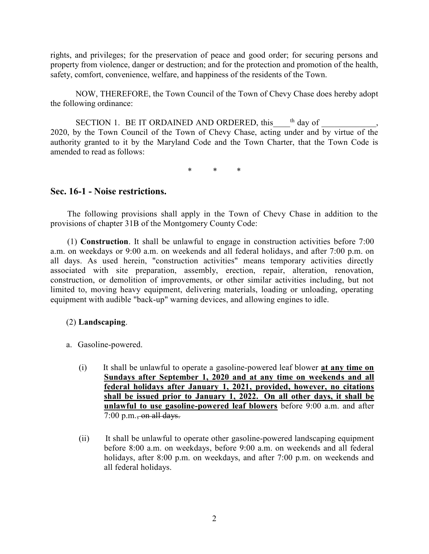rights, and privileges; for the preservation of peace and good order; for securing persons and property from violence, danger or destruction; and for the protection and promotion of the health, safety, comfort, convenience, welfare, and happiness of the residents of the Town.

NOW, THEREFORE, the Town Council of the Town of Chevy Chase does hereby adopt the following ordinance:

SECTION 1. BE IT ORDAINED AND ORDERED, this  $^{th}$  day of  $\qquad \qquad$ , 2020, by the Town Council of the Town of Chevy Chase, acting under and by virtue of the authority granted to it by the Maryland Code and the Town Charter, that the Town Code is amended to read as follows:

\* \* \*

## **Sec. 16-1 - Noise restrictions.**

The following provisions shall apply in the Town of Chevy Chase in addition to the provisions of chapter 31B of the Montgomery County Code:

(1) **Construction**. It shall be unlawful to engage in construction activities before 7:00 a.m. on weekdays or 9:00 a.m. on weekends and all federal holidays, and after 7:00 p.m. on all days. As used herein, "construction activities" means temporary activities directly associated with site preparation, assembly, erection, repair, alteration, renovation, construction, or demolition of improvements, or other similar activities including, but not limited to, moving heavy equipment, delivering materials, loading or unloading, operating equipment with audible "back-up" warning devices, and allowing engines to idle.

## (2) **Landscaping**.

- a. Gasoline-powered.
	- (i) It shall be unlawful to operate a gasoline-powered leaf blower **at any time on Sundays after September 1, 2020 and at any time on weekends and all federal holidays after January 1, 2021, provided, however, no citations shall be issued prior to January 1, 2022. On all other days, it shall be unlawful to use gasoline-powered leaf blowers** before 9:00 a.m. and after  $7:00$  p.m., on all days.
	- (ii) It shall be unlawful to operate other gasoline-powered landscaping equipment before 8:00 a.m. on weekdays, before 9:00 a.m. on weekends and all federal holidays, after 8:00 p.m. on weekdays, and after 7:00 p.m. on weekends and all federal holidays.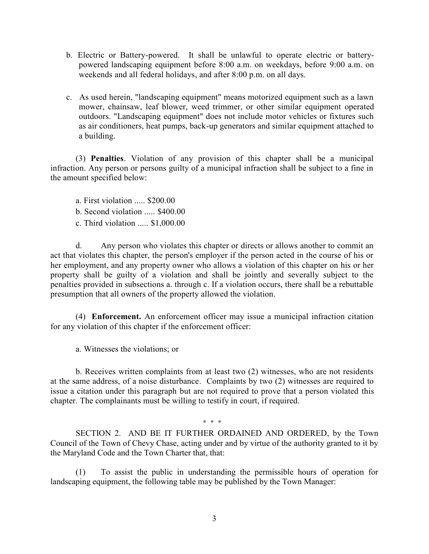- b. Electric or Battery-powered. It shall be unlawful to operate electric or batterypowered landscaping equipment before 8:00 a.m. on weekdays, before 9:00 a.m. on weekends and all federal holidays, and after 8:00 p.m. on all days.
- c. As used herein, "landscaping equipment" means motorized equipment such as a lawn mower, chainsaw, leaf blower, weed trimmer, or other similar equipment operated outdoors. "Landscaping equipment" does not include motor vehicles or fixtures such as air conditioners, heat pumps, back-up generators and similar equipment attached to a building.

(3) **Penalties**. Violation of any provision of this chapter shall be a municipal infraction. Any person or persons guilty of a municipal infraction shall be subject to a fine in the amount specified below:

a. First violation ..... \$200.00

b. Second violation ..... \$400.00

c. Third violation ..... \$1,000.00

d. Any person who violates this chapter or directs or allows another to commit an act that violates this chapter, the person's employer if the person acted in the course of his or her employment, and any property owner who allows a violation of this chapter on his or her property shall be guilty of a violation and shall be jointly and severally subject to the penalties provided in subsections a. through c. If a violation occurs, there shall be a rebuttable presumption that all owners of the property allowed the violation.

(4) **Enforcement.** An enforcement officer may issue a municipal infraction citation for any violation of this chapter if the enforcement officer:

a. Witnesses the violations; or

b. Receives written complaints from at least two (2) witnesses, who are not residents at the same address, of a noise disturbance. Complaints by two (2) witnesses are required to issue a citation under this paragraph but are not required to prove that a person violated this chapter. The complainants must be willing to testify in court, if required.

\* \* \*

SECTION 2. AND BE IT FURTHER ORDAINED AND ORDERED, by the Town Council of the Town of Chevy Chase, acting under and by virtue of the authority granted to it by the Maryland Code and the Town Charter that, that:

(1) To assist the public in understanding the permissible hours of operation for landscaping equipment, the following table may be published by the Town Manager: